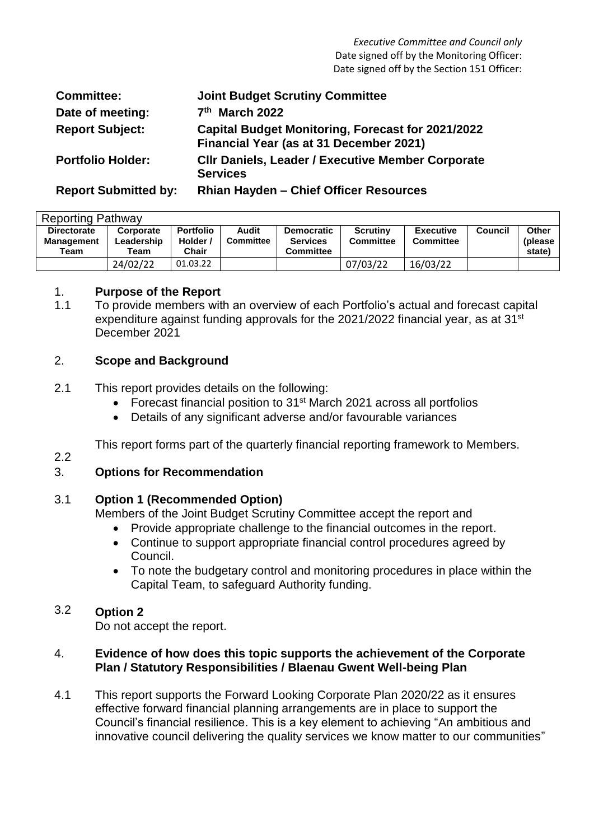| <b>Committee:</b>           | <b>Joint Budget Scrutiny Committee</b>                                                              |
|-----------------------------|-----------------------------------------------------------------------------------------------------|
| Date of meeting:            | 7th March 2022                                                                                      |
| <b>Report Subject:</b>      | <b>Capital Budget Monitoring, Forecast for 2021/2022</b><br>Financial Year (as at 31 December 2021) |
| <b>Portfolio Holder:</b>    | <b>CIIr Daniels, Leader / Executive Member Corporate</b><br><b>Services</b>                         |
| <b>Report Submitted by:</b> | <b>Rhian Hayden - Chief Officer Resources</b>                                                       |

| <b>Reporting Pathway</b>                        |                                 |                                     |                           |                                                          |                                     |                                      |                |                             |  |  |
|-------------------------------------------------|---------------------------------|-------------------------------------|---------------------------|----------------------------------------------------------|-------------------------------------|--------------------------------------|----------------|-----------------------------|--|--|
| <b>Directorate</b><br><b>Management</b><br>Team | Corporate<br>Leadership<br>Team | <b>Portfolio</b><br>Holder<br>Chair | Audit<br><b>Committee</b> | <b>Democratic</b><br><b>Services</b><br><b>Committee</b> | <b>Scrutiny</b><br><b>Committee</b> | <b>Executive</b><br><b>Committee</b> | <b>Council</b> | Other<br>(please)<br>state) |  |  |
|                                                 | 24/02/22                        | 01.03.22                            |                           |                                                          | 07/03/22                            | 16/03/22                             |                |                             |  |  |

### 1. **Purpose of the Report**

1.1 To provide members with an overview of each Portfolio's actual and forecast capital expenditure against funding approvals for the 2021/2022 financial year, as at 31<sup>st</sup> December 2021

# 2. **Scope and Background**

- 2.1 This report provides details on the following:
	- Forecast financial position to 31<sup>st</sup> March 2021 across all portfolios
	- Details of any significant adverse and/or favourable variances

This report forms part of the quarterly financial reporting framework to Members.

# 2.2

# 3. **Options for Recommendation**

#### 3.1 **Option 1 (Recommended Option)**

Members of the Joint Budget Scrutiny Committee accept the report and

- Provide appropriate challenge to the financial outcomes in the report.
- Continue to support appropriate financial control procedures agreed by Council.
- To note the budgetary control and monitoring procedures in place within the Capital Team, to safeguard Authority funding.

### 3.2 **Option 2**

Do not accept the report.

### 4. **Evidence of how does this topic supports the achievement of the Corporate Plan / Statutory Responsibilities / Blaenau Gwent Well-being Plan**

4.1 This report supports the Forward Looking Corporate Plan 2020/22 as it ensures effective forward financial planning arrangements are in place to support the Council's financial resilience. This is a key element to achieving "An ambitious and innovative council delivering the quality services we know matter to our communities"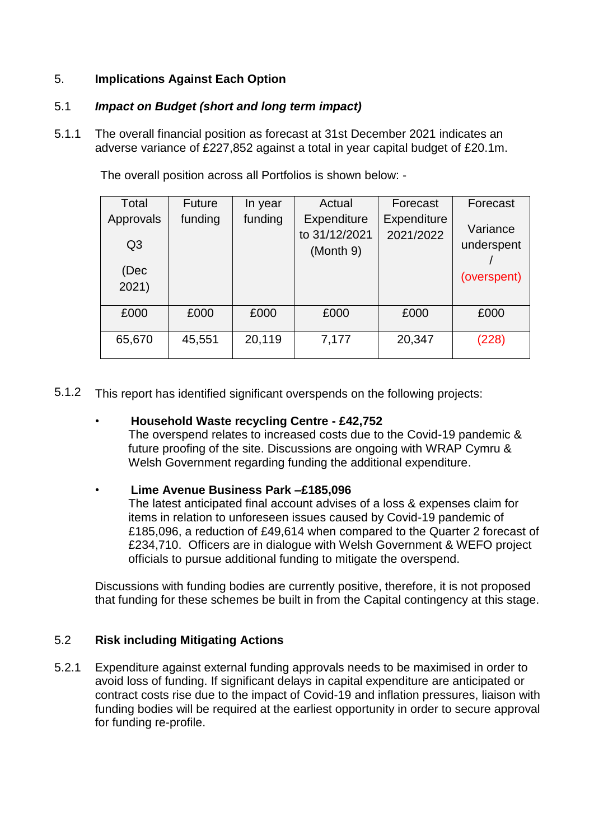# 5. **Implications Against Each Option**

#### 5.1 *Impact on Budget (short and long term impact)*

5.1.1 The overall financial position as forecast at 31st December 2021 indicates an adverse variance of £227,852 against a total in year capital budget of £20.1m.

The overall position across all Portfolios is shown below: -

| Total                       | <b>Future</b> | In year | Actual                                    | Forecast                        | Forecast               |
|-----------------------------|---------------|---------|-------------------------------------------|---------------------------------|------------------------|
| Approvals<br>Q <sub>3</sub> | funding       | funding | Expenditure<br>to 31/12/2021<br>(Month 9) | <b>Expenditure</b><br>2021/2022 | Variance<br>underspent |
| (Dec<br>2021)               |               |         |                                           |                                 | (overspent)            |
| £000                        | £000          | £000    | £000                                      | £000                            | £000                   |
| 65,670                      | 45,551        | 20,119  | 7,177                                     | 20,347                          | (228)                  |

5.1.2 This report has identified significant overspends on the following projects:

# • **Household Waste recycling Centre - £42,752**

The overspend relates to increased costs due to the Covid-19 pandemic & future proofing of the site. Discussions are ongoing with WRAP Cymru & Welsh Government regarding funding the additional expenditure.

# • **Lime Avenue Business Park –£185,096**

The latest anticipated final account advises of a loss & expenses claim for items in relation to unforeseen issues caused by Covid-19 pandemic of £185,096, a reduction of £49,614 when compared to the Quarter 2 forecast of £234,710. Officers are in dialogue with Welsh Government & WEFO project officials to pursue additional funding to mitigate the overspend.

Discussions with funding bodies are currently positive, therefore, it is not proposed that funding for these schemes be built in from the Capital contingency at this stage.

# 5.2 **Risk including Mitigating Actions**

5.2.1 Expenditure against external funding approvals needs to be maximised in order to avoid loss of funding. If significant delays in capital expenditure are anticipated or contract costs rise due to the impact of Covid-19 and inflation pressures, liaison with funding bodies will be required at the earliest opportunity in order to secure approval for funding re-profile.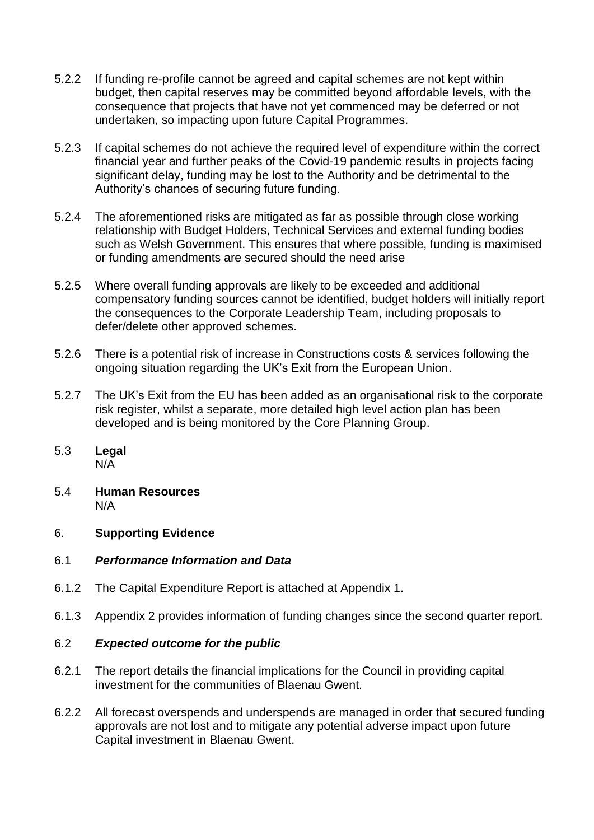- 5.2.2 If funding re-profile cannot be agreed and capital schemes are not kept within budget, then capital reserves may be committed beyond affordable levels, with the consequence that projects that have not yet commenced may be deferred or not undertaken, so impacting upon future Capital Programmes.
- 5.2.3 If capital schemes do not achieve the required level of expenditure within the correct financial year and further peaks of the Covid-19 pandemic results in projects facing significant delay, funding may be lost to the Authority and be detrimental to the Authority's chances of securing future funding.
- 5.2.4 The aforementioned risks are mitigated as far as possible through close working relationship with Budget Holders, Technical Services and external funding bodies such as Welsh Government. This ensures that where possible, funding is maximised or funding amendments are secured should the need arise
- 5.2.5 Where overall funding approvals are likely to be exceeded and additional compensatory funding sources cannot be identified, budget holders will initially report the consequences to the Corporate Leadership Team, including proposals to defer/delete other approved schemes.
- 5.2.6 There is a potential risk of increase in Constructions costs & services following the ongoing situation regarding the UK's Exit from the European Union.
- 5.2.7 The UK's Exit from the EU has been added as an organisational risk to the corporate risk register, whilst a separate, more detailed high level action plan has been developed and is being monitored by the Core Planning Group.
- 5.3 **Legal**  $N/\overline{A}$
- 5.4 **Human Resources** N/A

# 6. **Supporting Evidence**

### 6.1 *Performance Information and Data*

- 6.1.2 The Capital Expenditure Report is attached at Appendix 1.
- 6.1.3 Appendix 2 provides information of funding changes since the second quarter report.

#### 6.2 *Expected outcome for the public*

- 6.2.1 The report details the financial implications for the Council in providing capital investment for the communities of Blaenau Gwent.
- 6.2.2 All forecast overspends and underspends are managed in order that secured funding approvals are not lost and to mitigate any potential adverse impact upon future Capital investment in Blaenau Gwent.